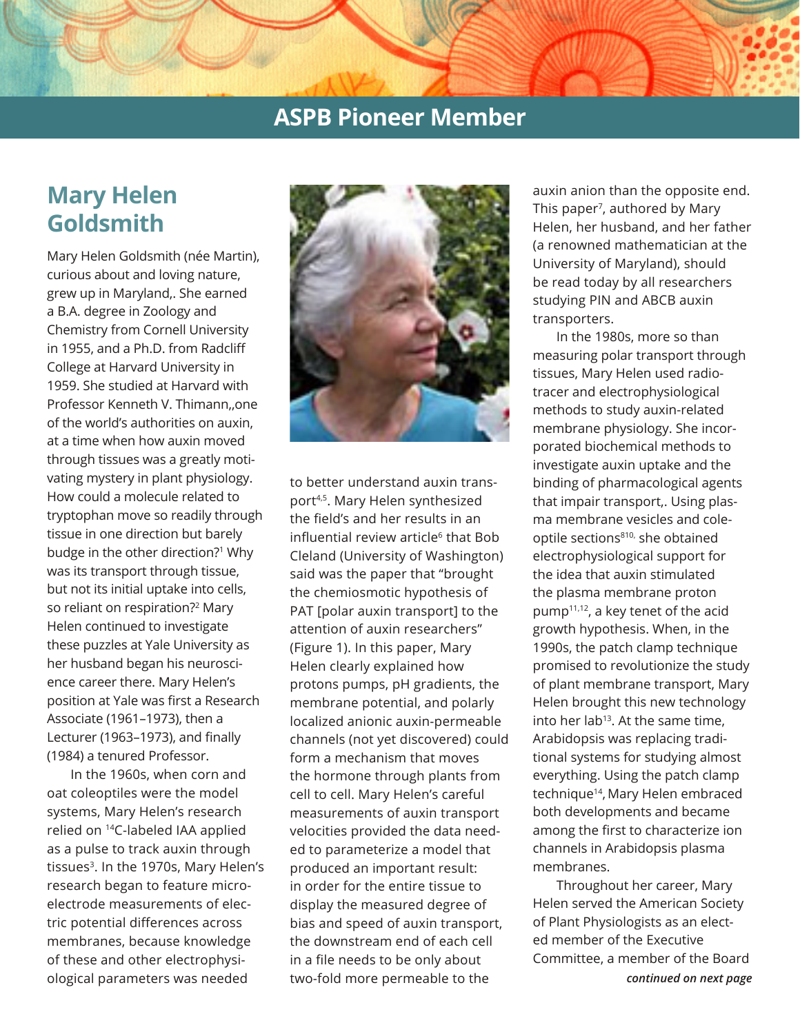## **ASPB Pioneer Member**

# **Mary Helen Goldsmith**

Mary Helen Goldsmith (née Martin), curious about and loving nature, grew up in Maryland,. She earned a B.A. degree in Zoology and Chemistry from Cornell University in 1955, and a Ph.D. from Radcliff College at Harvard University in 1959. She studied at Harvard with Professor Kenneth V. Thimann,,one of the world's authorities on auxin, at a time when how auxin moved through tissues was a greatly motivating mystery in plant physiology. How could a molecule related to tryptophan move so readily through tissue in one direction but barely budge in the other direction?<sup>1</sup> Why was its transport through tissue, but not its initial uptake into cells, so reliant on respiration?2 Mary Helen continued to investigate these puzzles at Yale University as her husband began his neuroscience career there. Mary Helen's position at Yale was first a Research Associate (1961–1973), then a Lecturer (1963–1973), and finally (1984) a tenured Professor.

In the 1960s, when corn and oat coleoptiles were the model systems, Mary Helen's research relied on 14C-labeled IAA applied as a pulse to track auxin through tissues<sup>3</sup>. In the 1970s, Mary Helen's research began to feature microelectrode measurements of electric potential differences across membranes, because knowledge of these and other electrophysiological parameters was needed



to better understand auxin transport4,5. Mary Helen synthesized the field's and her results in an influential review article<sup>6</sup> that Bob Cleland (University of Washington) said was the paper that "brought the chemiosmotic hypothesis of PAT [polar auxin transport] to the attention of auxin researchers" (Figure 1). In this paper, Mary Helen clearly explained how protons pumps, pH gradients, the membrane potential, and polarly localized anionic auxin-permeable channels (not yet discovered) could form a mechanism that moves the hormone through plants from cell to cell. Mary Helen's careful measurements of auxin transport velocities provided the data needed to parameterize a model that produced an important result: in order for the entire tissue to display the measured degree of bias and speed of auxin transport, the downstream end of each cell in a file needs to be only about two-fold more permeable to the

auxin anion than the opposite end. This paper<sup>7</sup>, authored by Mary Helen, her husband, and her father (a renowned mathematician at the University of Maryland), should be read today by all researchers studying PIN and ABCB auxin transporters.

In the 1980s, more so than measuring polar transport through tissues, Mary Helen used radiotracer and electrophysiological methods to study auxin-related membrane physiology. She incorporated biochemical methods to investigate auxin uptake and the binding of pharmacological agents that impair transport,. Using plasma membrane vesicles and coleoptile sections<sup>810,</sup> she obtained electrophysiological support for the idea that auxin stimulated the plasma membrane proton pump11,12, a key tenet of the acid growth hypothesis. When, in the 1990s, the patch clamp technique promised to revolutionize the study of plant membrane transport, Mary Helen brought this new technology into her lab<sup>13</sup>. At the same time, Arabidopsis was replacing traditional systems for studying almost everything. Using the patch clamp technique<sup>14</sup>, Mary Helen embraced both developments and became among the first to characterize ion channels in Arabidopsis plasma membranes.

*continued on next page* Throughout her career, Mary Helen served the American Society of Plant Physiologists as an elected member of the Executive Committee, a member of the Board